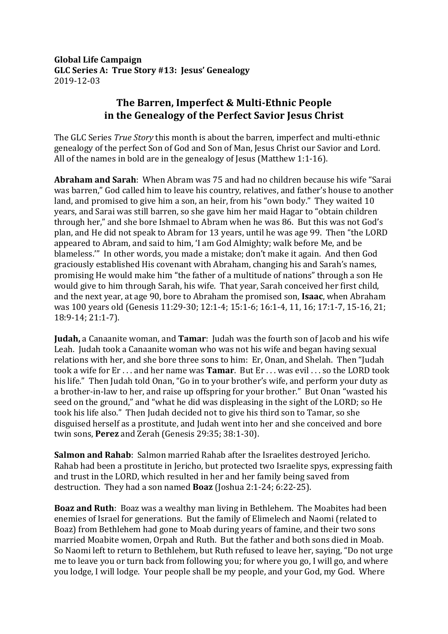**Global Life Campaign** GLC Series A: True Story #13: Jesus' Genealogy 2019-12-03

## **The Barren, Imperfect & Multi-Ethnic People** in the Genealogy of the Perfect Savior Jesus Christ

The GLC Series *True Story* this month is about the barren, imperfect and multi-ethnic genealogy of the perfect Son of God and Son of Man, Jesus Christ our Savior and Lord. All of the names in bold are in the genealogy of Jesus (Matthew 1:1-16).

Abraham and Sarah: When Abram was 75 and had no children because his wife "Sarai was barren," God called him to leave his country, relatives, and father's house to another land, and promised to give him a son, an heir, from his "own body." They waited 10 years, and Sarai was still barren, so she gave him her maid Hagar to "obtain children through her," and she bore Ishmael to Abram when he was 86. But this was not God's plan, and He did not speak to Abram for 13 years, until he was age 99. Then "the LORD appeared to Abram, and said to him, 'I am God Almighty; walk before Me, and be blameless." In other words, you made a mistake; don't make it again. And then God graciously established His covenant with Abraham, changing his and Sarah's names, promising He would make him "the father of a multitude of nations" through a son He would give to him through Sarah, his wife. That year, Sarah conceived her first child, and the next year, at age 90, bore to Abraham the promised son, Isaac, when Abraham was 100 years old (Genesis 11:29-30; 12:1-4; 15:1-6; 16:1-4, 11, 16; 17:1-7, 15-16, 21; 18:9-14; 21:1-7). 

**Judah,** a Canaanite woman, and **Tamar**: Judah was the fourth son of Jacob and his wife Leah. Judah took a Canaanite woman who was not his wife and began having sexual relations with her, and she bore three sons to him: Er, Onan, and Shelah. Then "Judah took a wife for Er ... and her name was **Tamar**. But Er ... was evil ... so the LORD took his life." Then Judah told Onan, "Go in to your brother's wife, and perform your duty as a brother-in-law to her, and raise up offspring for your brother." But Onan "wasted his seed on the ground," and "what he did was displeasing in the sight of the LORD; so He took his life also." Then Judah decided not to give his third son to Tamar, so she disguised herself as a prostitute, and Judah went into her and she conceived and bore twin sons, **Perez** and Zerah (Genesis 29:35; 38:1-30).

**Salmon and Rahab**: Salmon married Rahab after the Israelites destroyed Jericho. Rahab had been a prostitute in Jericho, but protected two Israelite spys, expressing faith and trust in the LORD, which resulted in her and her family being saved from destruction. They had a son named **Boaz** (Joshua 2:1-24; 6:22-25).

**Boaz and Ruth**: Boaz was a wealthy man living in Bethlehem. The Moabites had been enemies of Israel for generations. But the family of Elimelech and Naomi (related to Boaz) from Bethlehem had gone to Moab during years of famine, and their two sons married Moabite women, Orpah and Ruth. But the father and both sons died in Moab. So Naomi left to return to Bethlehem, but Ruth refused to leave her, saying, "Do not urge me to leave you or turn back from following you; for where you go, I will go, and where you lodge, I will lodge. Your people shall be my people, and your God, my God. Where